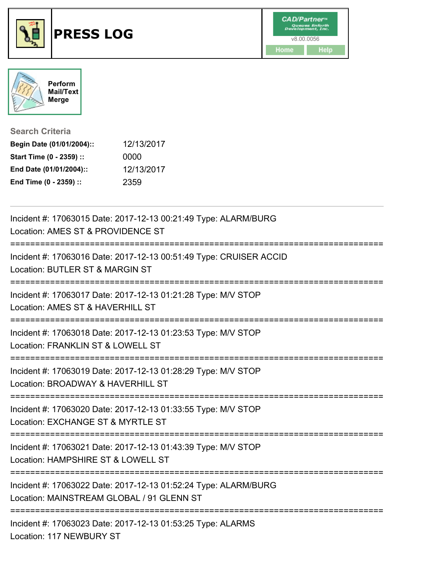



## **Search Criteria**

| Begin Date (01/01/2004):: | 12/13/2017 |
|---------------------------|------------|
| Start Time (0 - 2359) ::  | 0000       |
| End Date (01/01/2004)::   | 12/13/2017 |
| End Time (0 - 2359) ::    | 2359       |

| Incident #: 17063015 Date: 2017-12-13 00:21:49 Type: ALARM/BURG<br>Location: AMES ST & PROVIDENCE ST<br>==========================<br>:=================================== |
|----------------------------------------------------------------------------------------------------------------------------------------------------------------------------|
| Incident #: 17063016 Date: 2017-12-13 00:51:49 Type: CRUISER ACCID<br>Location: BUTLER ST & MARGIN ST<br>============================                                      |
| Incident #: 17063017 Date: 2017-12-13 01:21:28 Type: M/V STOP<br>Location: AMES ST & HAVERHILL ST                                                                          |
| Incident #: 17063018 Date: 2017-12-13 01:23:53 Type: M/V STOP<br>Location: FRANKLIN ST & LOWELL ST<br>========================                                             |
| Incident #: 17063019 Date: 2017-12-13 01:28:29 Type: M/V STOP<br>Location: BROADWAY & HAVERHILL ST                                                                         |
| Incident #: 17063020 Date: 2017-12-13 01:33:55 Type: M/V STOP<br>Location: EXCHANGE ST & MYRTLE ST                                                                         |
| Incident #: 17063021 Date: 2017-12-13 01:43:39 Type: M/V STOP<br>Location: HAMPSHIRE ST & LOWELL ST                                                                        |
| Incident #: 17063022 Date: 2017-12-13 01:52:24 Type: ALARM/BURG<br>Location: MAINSTREAM GLOBAL / 91 GLENN ST                                                               |
| Incident #: 17063023 Date: 2017-12-13 01:53:25 Type: ALARMS<br>Location: 117 NEWBURY ST                                                                                    |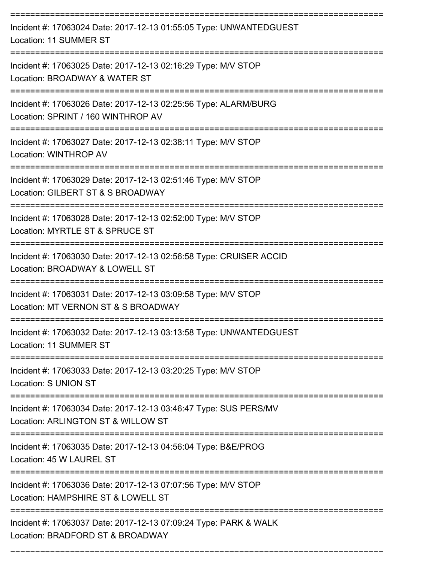| Incident #: 17063024 Date: 2017-12-13 01:55:05 Type: UNWANTEDGUEST<br>Location: 11 SUMMER ST           |
|--------------------------------------------------------------------------------------------------------|
| Incident #: 17063025 Date: 2017-12-13 02:16:29 Type: M/V STOP<br>Location: BROADWAY & WATER ST         |
| Incident #: 17063026 Date: 2017-12-13 02:25:56 Type: ALARM/BURG<br>Location: SPRINT / 160 WINTHROP AV  |
| Incident #: 17063027 Date: 2017-12-13 02:38:11 Type: M/V STOP<br>Location: WINTHROP AV                 |
| Incident #: 17063029 Date: 2017-12-13 02:51:46 Type: M/V STOP<br>Location: GILBERT ST & S BROADWAY     |
| Incident #: 17063028 Date: 2017-12-13 02:52:00 Type: M/V STOP<br>Location: MYRTLE ST & SPRUCE ST       |
| Incident #: 17063030 Date: 2017-12-13 02:56:58 Type: CRUISER ACCID<br>Location: BROADWAY & LOWELL ST   |
| Incident #: 17063031 Date: 2017-12-13 03:09:58 Type: M/V STOP<br>Location: MT VERNON ST & S BROADWAY   |
| Incident #: 17063032 Date: 2017-12-13 03:13:58 Type: UNWANTEDGUEST<br>Location: 11 SUMMER ST           |
| Incident #: 17063033 Date: 2017-12-13 03:20:25 Type: M/V STOP<br>Location: S UNION ST                  |
| Incident #: 17063034 Date: 2017-12-13 03:46:47 Type: SUS PERS/MV<br>Location: ARLINGTON ST & WILLOW ST |
| Incident #: 17063035 Date: 2017-12-13 04:56:04 Type: B&E/PROG<br>Location: 45 W LAUREL ST              |
| Incident #: 17063036 Date: 2017-12-13 07:07:56 Type: M/V STOP<br>Location: HAMPSHIRE ST & LOWELL ST    |
| Incident #: 17063037 Date: 2017-12-13 07:09:24 Type: PARK & WALK<br>Location: BRADFORD ST & BROADWAY   |

===========================================================================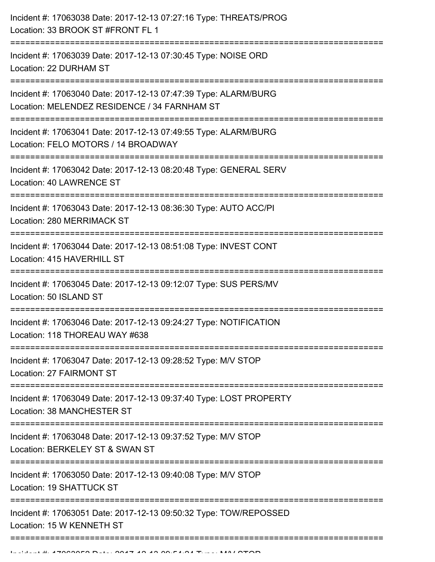| Incident #: 17063038 Date: 2017-12-13 07:27:16 Type: THREATS/PROG<br>Location: 33 BROOK ST #FRONT FL 1                                       |
|----------------------------------------------------------------------------------------------------------------------------------------------|
| Incident #: 17063039 Date: 2017-12-13 07:30:45 Type: NOISE ORD<br>Location: 22 DURHAM ST                                                     |
| Incident #: 17063040 Date: 2017-12-13 07:47:39 Type: ALARM/BURG<br>Location: MELENDEZ RESIDENCE / 34 FARNHAM ST<br>------------------------- |
| Incident #: 17063041 Date: 2017-12-13 07:49:55 Type: ALARM/BURG<br>Location: FELO MOTORS / 14 BROADWAY                                       |
| Incident #: 17063042 Date: 2017-12-13 08:20:48 Type: GENERAL SERV<br>Location: 40 LAWRENCE ST                                                |
| Incident #: 17063043 Date: 2017-12-13 08:36:30 Type: AUTO ACC/PI<br>Location: 280 MERRIMACK ST                                               |
| Incident #: 17063044 Date: 2017-12-13 08:51:08 Type: INVEST CONT<br>Location: 415 HAVERHILL ST                                               |
| Incident #: 17063045 Date: 2017-12-13 09:12:07 Type: SUS PERS/MV<br>Location: 50 ISLAND ST                                                   |
| Incident #: 17063046 Date: 2017-12-13 09:24:27 Type: NOTIFICATION<br>Location: 118 THOREAU WAY #638                                          |
| Incident #: 17063047 Date: 2017-12-13 09:28:52 Type: M/V STOP<br>Location: 27 FAIRMONT ST                                                    |
| Incident #: 17063049 Date: 2017-12-13 09:37:40 Type: LOST PROPERTY<br>Location: 38 MANCHESTER ST                                             |
| Incident #: 17063048 Date: 2017-12-13 09:37:52 Type: M/V STOP<br>Location: BERKELEY ST & SWAN ST                                             |
| Incident #: 17063050 Date: 2017-12-13 09:40:08 Type: M/V STOP<br>Location: 19 SHATTUCK ST                                                    |
| Incident #: 17063051 Date: 2017-12-13 09:50:32 Type: TOW/REPOSSED<br>Location: 15 W KENNETH ST                                               |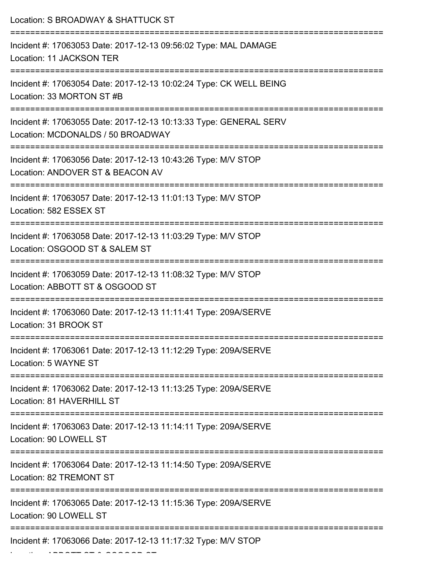| Location: S BROADWAY & SHATTUCK ST                                                                                              |
|---------------------------------------------------------------------------------------------------------------------------------|
| Incident #: 17063053 Date: 2017-12-13 09:56:02 Type: MAL DAMAGE<br>Location: 11 JACKSON TER                                     |
| Incident #: 17063054 Date: 2017-12-13 10:02:24 Type: CK WELL BEING<br>Location: 33 MORTON ST #B                                 |
| Incident #: 17063055 Date: 2017-12-13 10:13:33 Type: GENERAL SERV<br>Location: MCDONALDS / 50 BROADWAY                          |
| Incident #: 17063056 Date: 2017-12-13 10:43:26 Type: M/V STOP<br>Location: ANDOVER ST & BEACON AV                               |
| Incident #: 17063057 Date: 2017-12-13 11:01:13 Type: M/V STOP<br>Location: 582 ESSEX ST                                         |
| Incident #: 17063058 Date: 2017-12-13 11:03:29 Type: M/V STOP<br>Location: OSGOOD ST & SALEM ST<br>:=========================== |
| Incident #: 17063059 Date: 2017-12-13 11:08:32 Type: M/V STOP<br>Location: ABBOTT ST & OSGOOD ST                                |
| Incident #: 17063060 Date: 2017-12-13 11:11:41 Type: 209A/SERVE<br>Location: 31 BROOK ST                                        |
| Incident #: 17063061 Date: 2017-12-13 11:12:29 Type: 209A/SERVE<br>Location: 5 WAYNE ST                                         |
| Incident #: 17063062 Date: 2017-12-13 11:13:25 Type: 209A/SERVE<br>Location: 81 HAVERHILL ST                                    |
| Incident #: 17063063 Date: 2017-12-13 11:14:11 Type: 209A/SERVE<br>Location: 90 LOWELL ST                                       |
| Incident #: 17063064 Date: 2017-12-13 11:14:50 Type: 209A/SERVE<br>Location: 82 TREMONT ST                                      |
| Incident #: 17063065 Date: 2017-12-13 11:15:36 Type: 209A/SERVE<br>Location: 90 LOWELL ST                                       |
| Incident #: 17063066 Date: 2017-12-13 11:17:32 Type: M/V STOP                                                                   |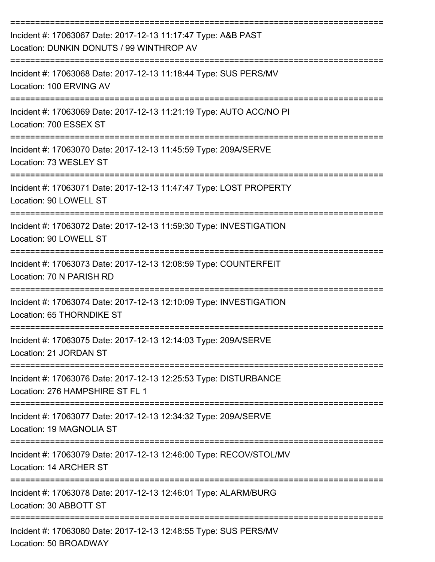| Incident #: 17063067 Date: 2017-12-13 11:17:47 Type: A&B PAST<br>Location: DUNKIN DONUTS / 99 WINTHROP AV                             |
|---------------------------------------------------------------------------------------------------------------------------------------|
| Incident #: 17063068 Date: 2017-12-13 11:18:44 Type: SUS PERS/MV<br>Location: 100 ERVING AV                                           |
| Incident #: 17063069 Date: 2017-12-13 11:21:19 Type: AUTO ACC/NO PI<br>Location: 700 ESSEX ST                                         |
| Incident #: 17063070 Date: 2017-12-13 11:45:59 Type: 209A/SERVE<br>Location: 73 WESLEY ST                                             |
| Incident #: 17063071 Date: 2017-12-13 11:47:47 Type: LOST PROPERTY<br>Location: 90 LOWELL ST                                          |
| Incident #: 17063072 Date: 2017-12-13 11:59:30 Type: INVESTIGATION<br>Location: 90 LOWELL ST                                          |
| Incident #: 17063073 Date: 2017-12-13 12:08:59 Type: COUNTERFEIT<br>Location: 70 N PARISH RD                                          |
| Incident #: 17063074 Date: 2017-12-13 12:10:09 Type: INVESTIGATION<br>Location: 65 THORNDIKE ST                                       |
| Incident #: 17063075 Date: 2017-12-13 12:14:03 Type: 209A/SERVE<br>Location: 21 JORDAN ST                                             |
| ----------------------------<br>Incident #: 17063076 Date: 2017-12-13 12:25:53 Type: DISTURBANCE<br>Location: 276 HAMPSHIRE ST FL 1   |
| Incident #: 17063077 Date: 2017-12-13 12:34:32 Type: 209A/SERVE<br>Location: 19 MAGNOLIA ST                                           |
| _____________________________________<br>Incident #: 17063079 Date: 2017-12-13 12:46:00 Type: RECOV/STOL/MV<br>Location: 14 ARCHER ST |
| Incident #: 17063078 Date: 2017-12-13 12:46:01 Type: ALARM/BURG<br>Location: 30 ABBOTT ST                                             |
| Incident #: 17063080 Date: 2017-12-13 12:48:55 Type: SUS PERS/MV<br>Location: 50 BROADWAY                                             |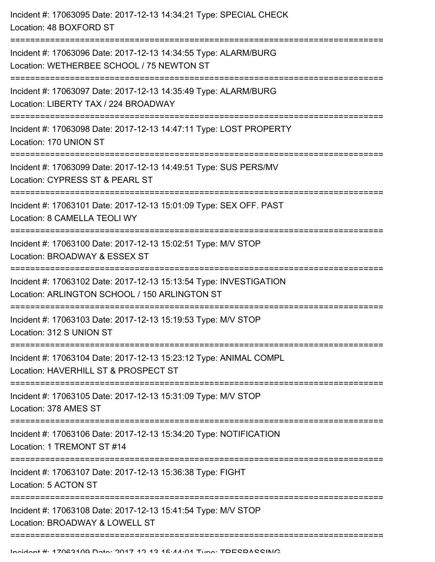Incident #: 17063095 Date: 2017-12-13 14:34:21 Type: SPECIAL CHECK Location: 48 BOXFORD ST =========================================================================== Incident #: 17063096 Date: 2017-12-13 14:34:55 Type: ALARM/BURG Location: WETHERBEE SCHOOL / 75 NEWTON ST =========================================================================== Incident #: 17063097 Date: 2017-12-13 14:35:49 Type: ALARM/BURG Location: LIBERTY TAX / 224 BROADWAY =========================================================================== Incident #: 17063098 Date: 2017-12-13 14:47:11 Type: LOST PROPERTY Location: 170 UNION ST =========================================================================== Incident #: 17063099 Date: 2017-12-13 14:49:51 Type: SUS PERS/MV Location: CYPRESS ST & PEARL ST =========================================================================== Incident #: 17063101 Date: 2017-12-13 15:01:09 Type: SEX OFF. PAST Location: 8 CAMELLA TEOLI WY =========================================================================== Incident #: 17063100 Date: 2017-12-13 15:02:51 Type: M/V STOP Location: BROADWAY & ESSEX ST =========================================================================== Incident #: 17063102 Date: 2017-12-13 15:13:54 Type: INVESTIGATION Location: ARLINGTON SCHOOL / 150 ARLINGTON ST =========================================================================== Incident #: 17063103 Date: 2017-12-13 15:19:53 Type: M/V STOP Location: 312 S UNION ST =========================================================================== Incident #: 17063104 Date: 2017-12-13 15:23:12 Type: ANIMAL COMPL Location: HAVERHILL ST & PROSPECT ST =========================================================================== Incident #: 17063105 Date: 2017-12-13 15:31:09 Type: M/V STOP Location: 378 AMES ST =========================================================================== Incident #: 17063106 Date: 2017-12-13 15:34:20 Type: NOTIFICATION Location: 1 TREMONT ST #14 =========================================================================== Incident #: 17063107 Date: 2017-12-13 15:36:38 Type: FIGHT Location: 5 ACTON ST =========================================================================== Incident #: 17063108 Date: 2017-12-13 15:41:54 Type: M/V STOP Location: BROADWAY & LOWELL ST ====================================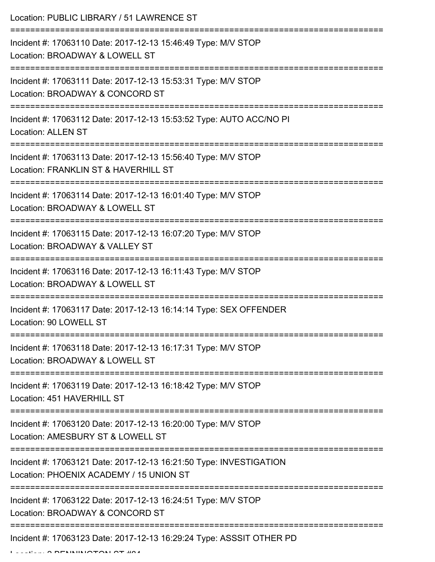| Location: PUBLIC LIBRARY / 51 LAWRENCE ST                                                                                                        |
|--------------------------------------------------------------------------------------------------------------------------------------------------|
| Incident #: 17063110 Date: 2017-12-13 15:46:49 Type: M/V STOP<br>Location: BROADWAY & LOWELL ST<br>=================================             |
| Incident #: 17063111 Date: 2017-12-13 15:53:31 Type: M/V STOP<br>Location: BROADWAY & CONCORD ST                                                 |
| Incident #: 17063112 Date: 2017-12-13 15:53:52 Type: AUTO ACC/NO PI<br><b>Location: ALLEN ST</b>                                                 |
| Incident #: 17063113 Date: 2017-12-13 15:56:40 Type: M/V STOP<br>Location: FRANKLIN ST & HAVERHILL ST<br>-----------------------<br>------------ |
| Incident #: 17063114 Date: 2017-12-13 16:01:40 Type: M/V STOP<br>Location: BROADWAY & LOWELL ST                                                  |
| Incident #: 17063115 Date: 2017-12-13 16:07:20 Type: M/V STOP<br>Location: BROADWAY & VALLEY ST                                                  |
| Incident #: 17063116 Date: 2017-12-13 16:11:43 Type: M/V STOP<br>Location: BROADWAY & LOWELL ST                                                  |
| Incident #: 17063117 Date: 2017-12-13 16:14:14 Type: SEX OFFENDER<br>Location: 90 LOWELL ST                                                      |
| Incident #: 17063118 Date: 2017-12-13 16:17:31 Type: M/V STOP<br>Location: BROADWAY & LOWELL ST                                                  |
| Incident #: 17063119 Date: 2017-12-13 16:18:42 Type: M/V STOP<br>Location: 451 HAVERHILL ST                                                      |
| Incident #: 17063120 Date: 2017-12-13 16:20:00 Type: M/V STOP<br>Location: AMESBURY ST & LOWELL ST                                               |
| Incident #: 17063121 Date: 2017-12-13 16:21:50 Type: INVESTIGATION<br>Location: PHOENIX ACADEMY / 15 UNION ST                                    |
| Incident #: 17063122 Date: 2017-12-13 16:24:51 Type: M/V STOP<br>Location: BROADWAY & CONCORD ST                                                 |
| Incident #: 17063123 Date: 2017-12-13 16:29:24 Type: ASSSIT OTHER PD                                                                             |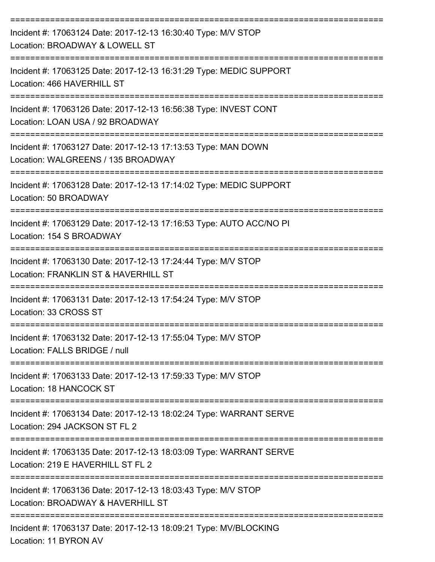| Incident #: 17063124 Date: 2017-12-13 16:30:40 Type: M/V STOP<br>Location: BROADWAY & LOWELL ST                                       |
|---------------------------------------------------------------------------------------------------------------------------------------|
| Incident #: 17063125 Date: 2017-12-13 16:31:29 Type: MEDIC SUPPORT<br>Location: 466 HAVERHILL ST                                      |
| Incident #: 17063126 Date: 2017-12-13 16:56:38 Type: INVEST CONT<br>Location: LOAN USA / 92 BROADWAY                                  |
| Incident #: 17063127 Date: 2017-12-13 17:13:53 Type: MAN DOWN<br>Location: WALGREENS / 135 BROADWAY                                   |
| Incident #: 17063128 Date: 2017-12-13 17:14:02 Type: MEDIC SUPPORT<br>Location: 50 BROADWAY                                           |
| Incident #: 17063129 Date: 2017-12-13 17:16:53 Type: AUTO ACC/NO PI<br>Location: 154 S BROADWAY                                       |
| Incident #: 17063130 Date: 2017-12-13 17:24:44 Type: M/V STOP<br>Location: FRANKLIN ST & HAVERHILL ST                                 |
| Incident #: 17063131 Date: 2017-12-13 17:54:24 Type: M/V STOP<br>Location: 33 CROSS ST                                                |
| Incident #: 17063132 Date: 2017-12-13 17:55:04 Type: M/V STOP<br>Location: FALLS BRIDGE / null                                        |
| ===============================<br>Incident #: 17063133 Date: 2017-12-13 17:59:33 Type: M/V STOP<br>Location: 18 HANCOCK ST           |
| Incident #: 17063134 Date: 2017-12-13 18:02:24 Type: WARRANT SERVE<br>Location: 294 JACKSON ST FL 2                                   |
| ==========================<br>Incident #: 17063135 Date: 2017-12-13 18:03:09 Type: WARRANT SERVE<br>Location: 219 E HAVERHILL ST FL 2 |
| Incident #: 17063136 Date: 2017-12-13 18:03:43 Type: M/V STOP<br>Location: BROADWAY & HAVERHILL ST                                    |
| -----------------------------<br>Incident #: 17063137 Date: 2017-12-13 18:09:21 Type: MV/BLOCKING<br>Location: 11 BYRON AV            |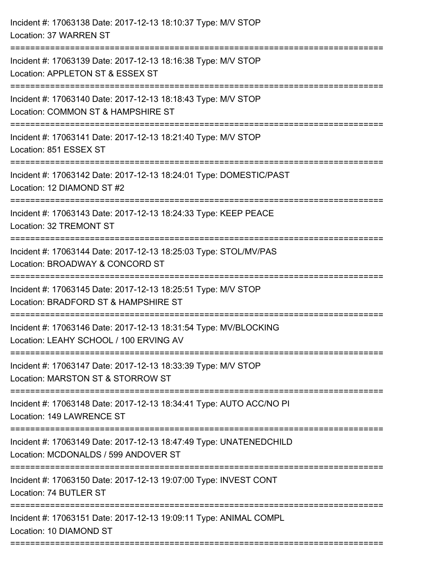| Incident #: 17063138 Date: 2017-12-13 18:10:37 Type: M/V STOP<br>Location: 37 WARREN ST                                          |
|----------------------------------------------------------------------------------------------------------------------------------|
| Incident #: 17063139 Date: 2017-12-13 18:16:38 Type: M/V STOP<br>Location: APPLETON ST & ESSEX ST<br>=========================== |
| Incident #: 17063140 Date: 2017-12-13 18:18:43 Type: M/V STOP<br>Location: COMMON ST & HAMPSHIRE ST                              |
| Incident #: 17063141 Date: 2017-12-13 18:21:40 Type: M/V STOP<br>Location: 851 ESSEX ST                                          |
| Incident #: 17063142 Date: 2017-12-13 18:24:01 Type: DOMESTIC/PAST<br>Location: 12 DIAMOND ST #2                                 |
| Incident #: 17063143 Date: 2017-12-13 18:24:33 Type: KEEP PEACE<br>Location: 32 TREMONT ST                                       |
| Incident #: 17063144 Date: 2017-12-13 18:25:03 Type: STOL/MV/PAS<br>Location: BROADWAY & CONCORD ST                              |
| Incident #: 17063145 Date: 2017-12-13 18:25:51 Type: M/V STOP<br>Location: BRADFORD ST & HAMPSHIRE ST                            |
| Incident #: 17063146 Date: 2017-12-13 18:31:54 Type: MV/BLOCKING<br>Location: LEAHY SCHOOL / 100 ERVING AV                       |
| Incident #: 17063147 Date: 2017-12-13 18:33:39 Type: M/V STOP<br>Location: MARSTON ST & STORROW ST                               |
| Incident #: 17063148 Date: 2017-12-13 18:34:41 Type: AUTO ACC/NO PI<br>Location: 149 LAWRENCE ST                                 |
| Incident #: 17063149 Date: 2017-12-13 18:47:49 Type: UNATENEDCHILD<br>Location: MCDONALDS / 599 ANDOVER ST                       |
| Incident #: 17063150 Date: 2017-12-13 19:07:00 Type: INVEST CONT<br>Location: 74 BUTLER ST                                       |
| Incident #: 17063151 Date: 2017-12-13 19:09:11 Type: ANIMAL COMPL<br>Location: 10 DIAMOND ST                                     |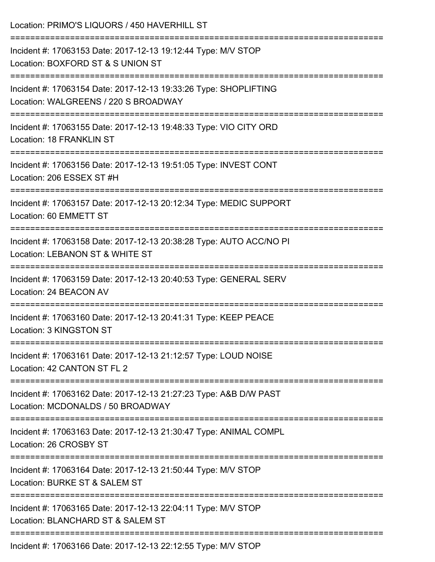| Location: PRIMO'S LIQUORS / 450 HAVERHILL ST                                                             |
|----------------------------------------------------------------------------------------------------------|
| Incident #: 17063153 Date: 2017-12-13 19:12:44 Type: M/V STOP<br>Location: BOXFORD ST & S UNION ST       |
| Incident #: 17063154 Date: 2017-12-13 19:33:26 Type: SHOPLIFTING<br>Location: WALGREENS / 220 S BROADWAY |
| Incident #: 17063155 Date: 2017-12-13 19:48:33 Type: VIO CITY ORD<br>Location: 18 FRANKLIN ST            |
| Incident #: 17063156 Date: 2017-12-13 19:51:05 Type: INVEST CONT<br>Location: 206 ESSEX ST #H            |
| Incident #: 17063157 Date: 2017-12-13 20:12:34 Type: MEDIC SUPPORT<br>Location: 60 EMMETT ST             |
| Incident #: 17063158 Date: 2017-12-13 20:38:28 Type: AUTO ACC/NO PI<br>Location: LEBANON ST & WHITE ST   |
| Incident #: 17063159 Date: 2017-12-13 20:40:53 Type: GENERAL SERV<br>Location: 24 BEACON AV              |
| Incident #: 17063160 Date: 2017-12-13 20:41:31 Type: KEEP PEACE<br>Location: 3 KINGSTON ST               |
| Incident #: 17063161 Date: 2017-12-13 21:12:57 Type: LOUD NOISE<br>Location: 42 CANTON ST FL 2           |
| Incident #: 17063162 Date: 2017-12-13 21:27:23 Type: A&B D/W PAST<br>Location: MCDONALDS / 50 BROADWAY   |
| Incident #: 17063163 Date: 2017-12-13 21:30:47 Type: ANIMAL COMPL<br>Location: 26 CROSBY ST              |
| Incident #: 17063164 Date: 2017-12-13 21:50:44 Type: M/V STOP<br>Location: BURKE ST & SALEM ST           |
| Incident #: 17063165 Date: 2017-12-13 22:04:11 Type: M/V STOP<br>Location: BLANCHARD ST & SALEM ST       |
| Incident #: 17063166 Date: 2017-12-13 22:12:55 Type: M/V STOP                                            |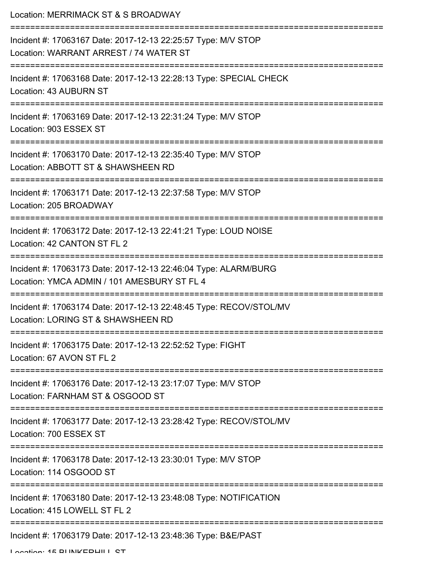| Location: MERRIMACK ST & S BROADWAY                                                                                                                |
|----------------------------------------------------------------------------------------------------------------------------------------------------|
| Incident #: 17063167 Date: 2017-12-13 22:25:57 Type: M/V STOP<br>Location: WARRANT ARREST / 74 WATER ST                                            |
| Incident #: 17063168 Date: 2017-12-13 22:28:13 Type: SPECIAL CHECK<br>Location: 43 AUBURN ST                                                       |
| Incident #: 17063169 Date: 2017-12-13 22:31:24 Type: M/V STOP<br>Location: 903 ESSEX ST                                                            |
| Incident #: 17063170 Date: 2017-12-13 22:35:40 Type: M/V STOP<br>Location: ABBOTT ST & SHAWSHEEN RD                                                |
| Incident #: 17063171 Date: 2017-12-13 22:37:58 Type: M/V STOP<br>Location: 205 BROADWAY                                                            |
| Incident #: 17063172 Date: 2017-12-13 22:41:21 Type: LOUD NOISE<br>Location: 42 CANTON ST FL 2                                                     |
| ------------------<br>Incident #: 17063173 Date: 2017-12-13 22:46:04 Type: ALARM/BURG<br>Location: YMCA ADMIN / 101 AMESBURY ST FL 4               |
| Incident #: 17063174 Date: 2017-12-13 22:48:45 Type: RECOV/STOL/MV<br>Location: LORING ST & SHAWSHEEN RD                                           |
| Incident #: 17063175 Date: 2017-12-13 22:52:52 Type: FIGHT<br>Location: 67 AVON ST FL 2                                                            |
| Incident #: 17063176 Date: 2017-12-13 23:17:07 Type: M/V STOP<br>Location: FARNHAM ST & OSGOOD ST                                                  |
| Incident #: 17063177 Date: 2017-12-13 23:28:42 Type: RECOV/STOL/MV<br>Location: 700 ESSEX ST                                                       |
| ================================<br>__________________<br>Incident #: 17063178 Date: 2017-12-13 23:30:01 Type: M/V STOP<br>Location: 114 OSGOOD ST |
| Incident #: 17063180 Date: 2017-12-13 23:48:08 Type: NOTIFICATION<br>Location: 415 LOWELL ST FL 2                                                  |
| Incident #: 17063179 Date: 2017-12-13 23:48:36 Type: B&E/PAST                                                                                      |